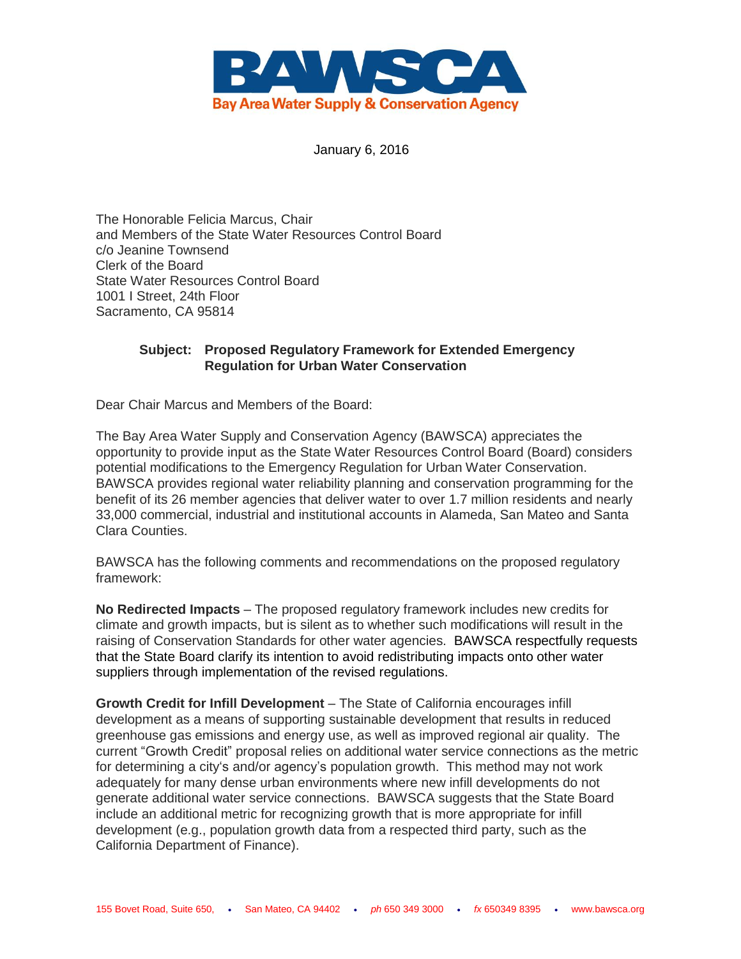

January 6, 2016

The Honorable Felicia Marcus, Chair and Members of the State Water Resources Control Board c/o Jeanine Townsend Clerk of the Board State Water Resources Control Board 1001 I Street, 24th Floor Sacramento, CA 95814

## **Subject: Proposed Regulatory Framework for Extended Emergency Regulation for Urban Water Conservation**

Dear Chair Marcus and Members of the Board:

The Bay Area Water Supply and Conservation Agency (BAWSCA) appreciates the opportunity to provide input as the State Water Resources Control Board (Board) considers potential modifications to the Emergency Regulation for Urban Water Conservation. BAWSCA provides regional water reliability planning and conservation programming for the benefit of its 26 member agencies that deliver water to over 1.7 million residents and nearly 33,000 commercial, industrial and institutional accounts in Alameda, San Mateo and Santa Clara Counties.

BAWSCA has the following comments and recommendations on the proposed regulatory framework:

**No Redirected Impacts** – The proposed regulatory framework includes new credits for climate and growth impacts, but is silent as to whether such modifications will result in the raising of Conservation Standards for other water agencies. BAWSCA respectfully requests that the State Board clarify its intention to avoid redistributing impacts onto other water suppliers through implementation of the revised regulations.

**Growth Credit for Infill Development** – The State of California encourages infill development as a means of supporting sustainable development that results in reduced greenhouse gas emissions and energy use, as well as improved regional air quality. The current "Growth Credit" proposal relies on additional water service connections as the metric for determining a city's and/or agency's population growth. This method may not work adequately for many dense urban environments where new infill developments do not generate additional water service connections. BAWSCA suggests that the State Board include an additional metric for recognizing growth that is more appropriate for infill development (e.g., population growth data from a respected third party, such as the California Department of Finance).